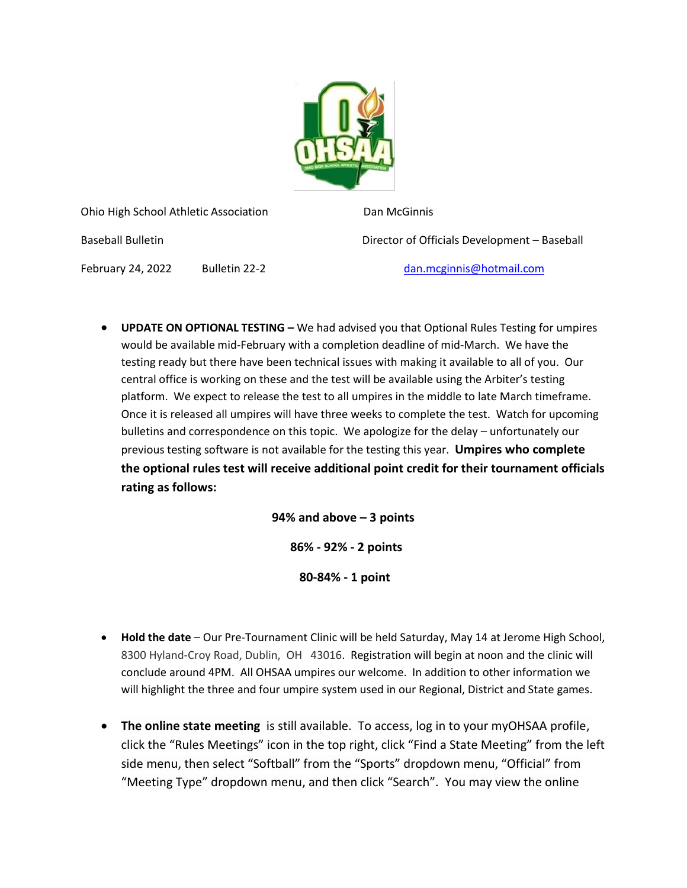

Ohio High School Athletic Association **Dan McGinnis** 

Baseball Bulletin Director of Officials Development – Baseball

February 24, 2022 Bulletin 22-2 [dan.mcginnis@hotmail.com](mailto:dan.mcginnis@hotmail.com)

• **UPDATE ON OPTIONAL TESTING –** We had advised you that Optional Rules Testing for umpires would be available mid-February with a completion deadline of mid-March. We have the testing ready but there have been technical issues with making it available to all of you. Our central office is working on these and the test will be available using the Arbiter's testing platform. We expect to release the test to all umpires in the middle to late March timeframe. Once it is released all umpires will have three weeks to complete the test. Watch for upcoming bulletins and correspondence on this topic. We apologize for the delay – unfortunately our previous testing software is not available for the testing this year. **Umpires who complete the optional rules test will receive additional point credit for their tournament officials rating as follows:** 

> **94% and above – 3 points 86% - 92% - 2 points**

> > **80-84% - 1 point**

- **Hold the date** Our Pre-Tournament Clinic will be held Saturday, May 14 at Jerome High School, 8300 Hyland-Croy Road, Dublin, OH 43016. Registration will begin at noon and the clinic will conclude around 4PM. All OHSAA umpires our welcome. In addition to other information we will highlight the three and four umpire system used in our Regional, District and State games.
- **The online state meeting** is still available. To access, log in to your myOHSAA profile, click the "Rules Meetings" icon in the top right, click "Find a State Meeting" from the left side menu, then select "Softball" from the "Sports" dropdown menu, "Official" from "Meeting Type" dropdown menu, and then click "Search". You may view the online